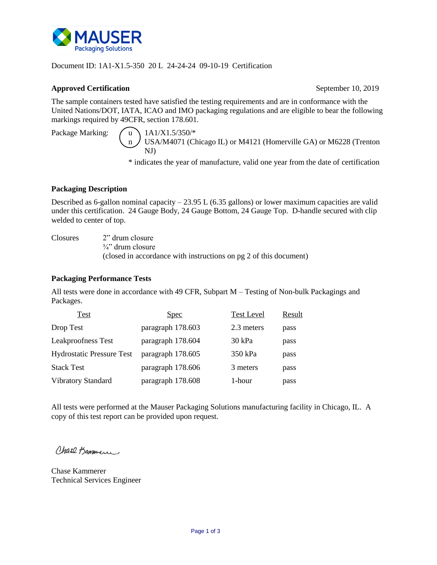

## Document ID: 1A1-X1.5-350 20 L 24-24-24 09-10-19 Certification

### **Approved Certification** September 10, 2019

The sample containers tested have satisfied the testing requirements and are in conformance with the United Nations/DOT, IATA, ICAO and IMO packaging regulations and are eligible to bear the following markings required by 49CFR, section 178.601.

Package Marking:  $\bigwedge u$  1A1/X1.5/350/\*

n / USA/M4071 (Chicago IL) or M4121 (Homerville GA) or M6228 (Trenton NJ)

\* indicates the year of manufacture, valid one year from the date of certification

## **Packaging Description**

Described as 6-gallon nominal capacity  $-23.95$  L (6.35 gallons) or lower maximum capacities are valid under this certification. 24 Gauge Body, 24 Gauge Bottom, 24 Gauge Top. D-handle secured with clip welded to center of top.

Closures 2" drum closure

 $\frac{3}{4}$ " drum closure (closed in accordance with instructions on pg 2 of this document)

# **Packaging Performance Tests**

All tests were done in accordance with 49 CFR, Subpart M – Testing of Non-bulk Packagings and Packages.

| Test                             | <u>Spec</u>       | <b>Test Level</b> | Result |
|----------------------------------|-------------------|-------------------|--------|
| Drop Test                        | paragraph 178.603 | 2.3 meters        | pass   |
| <b>Leakproofness Test</b>        | paragraph 178.604 | 30 kPa            | pass   |
| <b>Hydrostatic Pressure Test</b> | paragraph 178.605 | 350 kPa           | pass   |
| <b>Stack Test</b>                | paragraph 178.606 | 3 meters          | pass   |
| Vibratory Standard               | paragraph 178.608 | 1-hour            | pass   |

All tests were performed at the Mauser Packaging Solutions manufacturing facility in Chicago, IL. A copy of this test report can be provided upon request.

Chase Bammen

Chase Kammerer Technical Services Engineer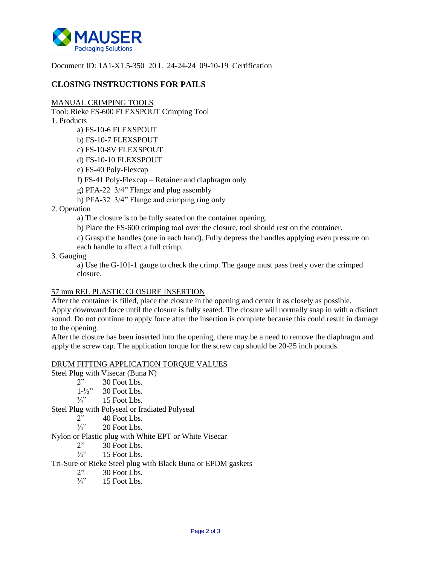

Document ID: 1A1-X1.5-350 20 L 24-24-24 09-10-19 Certification

# **CLOSING INSTRUCTIONS FOR PAILS**

#### MANUAL CRIMPING TOOLS

Tool: Rieke FS-600 FLEXSPOUT Crimping Tool

1. Products

- a) FS-10-6 FLEXSPOUT
- b) FS-10-7 FLEXSPOUT
- c) FS-10-8V FLEXSPOUT
- d) FS-10-10 FLEXSPOUT
- e) FS-40 Poly-Flexcap
- f) FS-41 Poly-Flexcap Retainer and diaphragm only
- g) PFA-22 3/4" Flange and plug assembly
- h) PFA-32 3/4" Flange and crimping ring only
- 2. Operation
	- a) The closure is to be fully seated on the container opening.
	- b) Place the FS-600 crimping tool over the closure, tool should rest on the container.
	- c) Grasp the handles (one in each hand). Fully depress the handles applying even pressure on each handle to affect a full crimp.
- 3. Gauging

a) Use the G-101-1 gauge to check the crimp. The gauge must pass freely over the crimped closure.

### 57 mm REL PLASTIC CLOSURE INSERTION

After the container is filled, place the closure in the opening and center it as closely as possible. Apply downward force until the closure is fully seated. The closure will normally snap in with a distinct sound. Do not continue to apply force after the insertion is complete because this could result in damage to the opening.

After the closure has been inserted into the opening, there may be a need to remove the diaphragm and apply the screw cap. The application torque for the screw cap should be 20-25 inch pounds.

### DRUM FITTING APPLICATION TORQUE VALUES

Steel Plug with Visecar (Buna N)<br>  $2^{y}$  30 Foot Lbs.

- 30 Foot Lbs.
- $1-\frac{1}{2}$  30 Foot Lbs.
- $\frac{3}{4}$ " 15 Foot Lbs.

Steel Plug with Polyseal or Iradiated Polyseal

- 2" 40 Foot Lbs.
- $\frac{3}{4}$ " 20 Foot Lbs.

Nylon or Plastic plug with White EPT or White Visecar

- $2"$  30 Foot Lbs.
- $\frac{3}{4}$ " 15 Foot Lbs.

Tri-Sure or Rieke Steel plug with Black Buna or EPDM gaskets

- 2" 30 Foot Lbs.
- $\frac{3}{4}$ " 15 Foot Lbs.